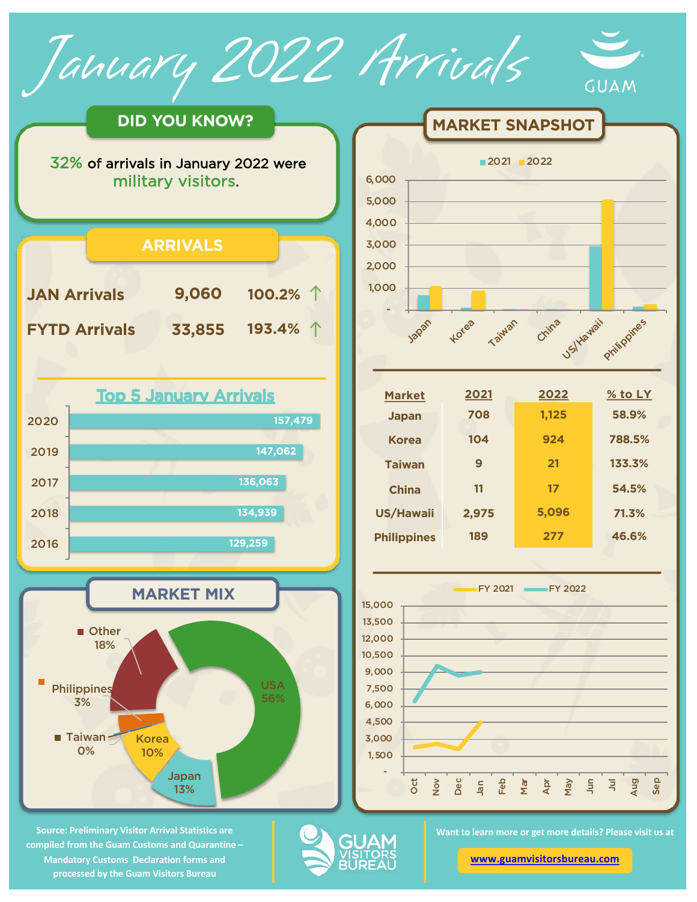**DID YOU KNOW?**

January 2022 Arrivals

32% of arrivals in January 2022 were military visitors.

|                      | <b>ARRIVALS</b> |                   |  |
|----------------------|-----------------|-------------------|--|
| <b>JAN Arrivals</b>  | 9,060           | 100.2% $\uparrow$ |  |
| <b>FYTD Arrivals</b> | 33,855          | 193.4% ↑          |  |
|                      |                 |                   |  |





**Source: Preliminary Visitor Arrival Statistics are compiled from the Guam Customs and Quarantine – Mandatory Customs Declaration forms and processed by the Guam Visitors Bureau** 



**MARKET SNAPSHOT** 

| <b>Market</b>      | 2021  | 2022  | $\%$ to LY |
|--------------------|-------|-------|------------|
| <b>Japan</b>       | 708   | 1,125 | 58.9%      |
| <b>Korea</b>       | 104   | 924   | 788.5%     |
| <b>Taiwan</b>      | 9     | 21    | 133.3%     |
| <b>China</b>       | 11    | 17    | 54.5%      |
| US/Hawaii          | 2,975 | 5,096 | 71.3%      |
| <b>Philippines</b> | 189   | 277   | 46.6%      |

**Taiwan** 

China <sub>DS/Hawaii</sub> Philippines

GUAM



**Want to learn more or get more details? Please visit us at** 

**[www.guamvisitorsbureau.co](https://www.guamvisitorsbureau.com/research-and-reports/research)m**



-

Japan

Korea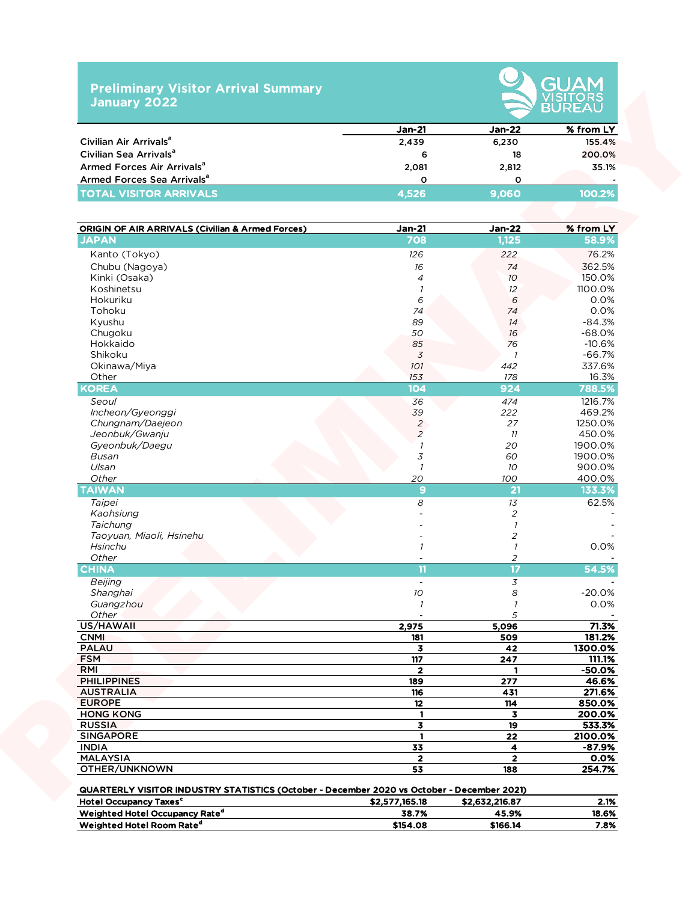## **Preliminary Visitor Arrival Summary January 2022**



|                                        | $Jan-21$ | <b>Jan-22</b> | % from LY |  |  |  |
|----------------------------------------|----------|---------------|-----------|--|--|--|
| Civilian Air Arrivals <sup>a</sup>     | 2,439    | 6,230         | 155.4%    |  |  |  |
| Civilian Sea Arrivals <sup>a</sup>     | 6        | 18            | 200.0%    |  |  |  |
| Armed Forces Air Arrivals <sup>a</sup> | 2.081    | 2,812         | 35.1%     |  |  |  |
| Armed Forces Sea Arrivals <sup>a</sup> |          |               |           |  |  |  |
| <b>TOTAL VISITOR ARRIVALS</b>          | 4.526    | 9.060         | 100.2%    |  |  |  |

|                                                                                                                                        | <b>Jan-21</b>  | <b>Jan-22</b>               | % from LY        |
|----------------------------------------------------------------------------------------------------------------------------------------|----------------|-----------------------------|------------------|
| Civilian Air Arrivals <sup>a</sup>                                                                                                     | 2,439          | 6,230                       | 155.4%           |
| Civilian Sea Arrivals <sup>a</sup>                                                                                                     | 6              | 18                          | 200.0%           |
| Armed Forces Air Arrivals <sup>a</sup>                                                                                                 | 2,081          | 2,812                       | 35.1%            |
| Armed Forces Sea Arrivals <sup>a</sup>                                                                                                 | $\circ$        | 0                           |                  |
| <b>TOTAL VISITOR ARRIVALS</b>                                                                                                          | 4,526          | 9,060                       | 100.2%           |
| <b>ORIGIN OF AIR ARRIVALS (Civilian &amp; Armed Forces)</b>                                                                            | <u>Jan-21</u>  | <b>Jan-22</b>               | % from LY        |
| <b>JAPAN</b>                                                                                                                           | 708            | 1,125                       | 58.9%            |
| Kanto (Tokyo)                                                                                                                          | 126            | 222                         | 76.2%            |
| Chubu (Nagoya)                                                                                                                         | 16             | 74                          | 362.5%           |
| Kinki (Osaka)                                                                                                                          | $\overline{4}$ | 10 <sup>°</sup>             | 150.0%           |
| Koshinetsu                                                                                                                             | 1              | 12                          | 1100.0%          |
| Hokuriku                                                                                                                               | 6              | 6                           | 0.0%             |
| Tohoku                                                                                                                                 | 74             | 74                          | 0.0%             |
| Kyushu                                                                                                                                 | 89             | 14                          | $-84.3%$         |
| Chugoku                                                                                                                                | 50             | 16                          | $-68.0%$         |
| Hokkaido                                                                                                                               | 85             | 76                          | $-10.6%$         |
| Shikoku                                                                                                                                | 3              | $\mathcal{I}$               | $-66.7%$         |
| Okinawa/Miya                                                                                                                           | 101            | 442                         | 337.6%           |
| Other                                                                                                                                  | 153            | 178                         | 16.3%            |
| <b>KOREA</b>                                                                                                                           | 104            | 924                         | 788.5%           |
| Seoul                                                                                                                                  | 36             | 474                         | 1216.7%          |
| Incheon/Gyeonggi                                                                                                                       | 39             | 222                         | 469.2%           |
| Chungnam/Daejeon                                                                                                                       | $\overline{c}$ | 27                          | 1250.0%          |
| Jeonbuk/Gwanju                                                                                                                         | $\overline{a}$ | 11                          | 450.0%           |
| Gyeonbuk/Daegu                                                                                                                         | $\overline{1}$ | 20                          | 1900.0%          |
| Busan                                                                                                                                  | 3              | 60                          | 1900.0%          |
| Ulsan<br>Other                                                                                                                         | $\mathcal{I}$  | 10 <sup>°</sup>             | 900.0%           |
| <b>TAIWAN</b>                                                                                                                          | 20<br>9        | 100<br>$21$                 | 400.0%<br>133.3% |
|                                                                                                                                        |                |                             |                  |
| Taipei                                                                                                                                 | 8              | 13                          | 62.5%            |
| Kaohsiung<br>Taichung                                                                                                                  |                | $\sqrt{2}$<br>$\mathcal{I}$ |                  |
| Taoyuan, Miaoli, Hsinehu                                                                                                               |                | $\sqrt{2}$                  |                  |
| Hsinchu                                                                                                                                | $\mathcal{I}$  | $\mathcal{I}$               | 0.0%             |
| Other                                                                                                                                  |                | $\overline{c}$              |                  |
| <b>CHINA</b>                                                                                                                           | 11             | $\overline{17}$             | 54.5%            |
| Beijing                                                                                                                                | $\blacksquare$ | $\mathfrak z$               |                  |
| Shanghai                                                                                                                               | 10             | 8                           | $-20.0%$         |
| Guangzhou                                                                                                                              |                |                             | $0.0\%$          |
| Other                                                                                                                                  |                | 5                           |                  |
| US/HAWAII                                                                                                                              | 2,975          | 5,096                       | 71.3%            |
| <b>CNMI</b>                                                                                                                            | 181            | 509                         | 181.2%           |
| <b>PALAU</b>                                                                                                                           | 3              | 42                          | 1300.0%          |
| <b>FSM</b>                                                                                                                             | 117            | 247                         | 111.1%           |
| RMI                                                                                                                                    | $\overline{2}$ |                             | $-50.0%$         |
| <b>PHILIPPINES</b>                                                                                                                     | 189            | 277                         | 46.6%            |
| <b>AUSTRALIA</b>                                                                                                                       | 116            | 431                         | 271.6%           |
| <b>EUROPE</b>                                                                                                                          | 12             | 114                         | 850.0%           |
| <b>HONG KONG</b>                                                                                                                       | $\mathbf{1}$   | 3                           | 200.0%           |
| <b>RUSSIA</b>                                                                                                                          | 3              | 19                          | 533.3%           |
| <b>SINGAPORE</b>                                                                                                                       | $\mathbf{1}$   | 22                          | 2100.0%          |
| <b>INDIA</b>                                                                                                                           | 33             | 4                           | $-87.9%$         |
| <b>MALAYSIA</b>                                                                                                                        | $\overline{2}$ | $\overline{2}$              | 0.0%             |
| OTHER/UNKNOWN                                                                                                                          | 53             | 188                         | 254.7%           |
| QUARTERLY VISITOR INDUSTRY STATISTICS (October - December 2020 vs October - December 2021)<br><b>Hotel Occupancy Taxes<sup>c</sup></b> | \$2,577,165.18 | \$2,632,216.87              | 2.1%             |
| Weighted Hotel Occupancy Rate <sup>d</sup>                                                                                             | 38.7%          | 45.9%                       | 18.6%            |

Weighted Hotel Room Rate<sup>d</sup> 5154.08 \$166.14 7.8%